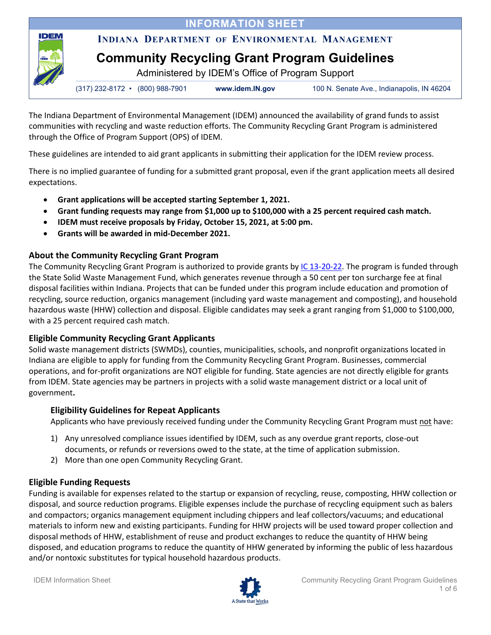*NFORMATION SHEET* 

# **INDIANA DEPARTMENT OF ENVIRONMENTAL MANAGEMENT**

# **Community Recycling Grant Program Guidelines**

Administered by IDEM's Office of Program Support

|  | $(317)$ 232-8172 • $(800)$ 988-7901 | www.idem.IN.gov | 100 N. Senate Ave., Indianapolis, IN 46204 |
|--|-------------------------------------|-----------------|--------------------------------------------|
|--|-------------------------------------|-----------------|--------------------------------------------|

The Indiana Department of Environmental Management (IDEM) announced the availability of grand funds to assist communities with recycling and waste reduction efforts. The Community Recycling Grant Program is administered through the Office of Program Support (OPS) of IDEM.

These guidelines are intended to aid grant applicants in submitting their application for the IDEM review process.

There is no implied guarantee of funding for a submitted grant proposal, even if the grant application meets all desired expectations.

- **Grant applications will be accepted starting September 1, 2021.**
- **Grant funding requests may range from \$1,000 up to \$100,000 with a 25 percent required cash match.**
- **IDEM must receive proposals by Friday, October 15, 2021, at 5:00 pm.**
- **Grants will be awarded in mid-December 2021.**

# **About the Community Recycling Grant Program**

**IDEM** 

The Community Recycling Grant Program is authorized to provide grants by [IC 13-20-22.](http://iga.in.gov/legislative/laws/2018/ic/titles/013/articles/025/chapters/004#13-20-22) The program is funded through the State Solid Waste Management Fund, which generates revenue through a 50 cent per ton surcharge fee at final disposal facilities within Indiana. Projects that can be funded under this program include education and promotion of recycling, source reduction, organics management (including yard waste management and composting), and household hazardous waste (HHW) collection and disposal. Eligible candidates may seek a grant ranging from \$1,000 to \$100,000, with a 25 percent required cash match.

# **Eligible Community Recycling Grant Applicants**

Solid waste management districts (SWMDs), counties, municipalities, schools, and nonprofit organizations located in Indiana are eligible to apply for funding from the Community Recycling Grant Program. Businesses, commercial operations, and for-profit organizations are NOT eligible for funding. State agencies are not directly eligible for grants from IDEM. State agencies may be partners in projects with a solid waste management district or a local unit of government**.**

# **Eligibility Guidelines for Repeat Applicants**

Applicants who have previously received funding under the Community Recycling Grant Program must not have:

- 1) Any unresolved compliance issues identified by IDEM, such as any overdue grant reports, close-out documents, or refunds or reversions owed to the state, at the time of application submission.
- 2) More than one open Community Recycling Grant.

# **Eligible Funding Requests**

Funding is available for expenses related to the startup or expansion of recycling, reuse, composting, HHW collection or disposal, and source reduction programs. Eligible expenses include the purchase of recycling equipment such as balers and compactors; organics management equipment including chippers and leaf collectors/vacuums; and educational materials to inform new and existing participants. Funding for HHW projects will be used toward proper collection and disposal methods of HHW, establishment of reuse and product exchanges to reduce the quantity of HHW being disposed, and education programs to reduce the quantity of HHW generated by informing the public of less hazardous and/or nontoxic substitutes for typical household hazardous products.

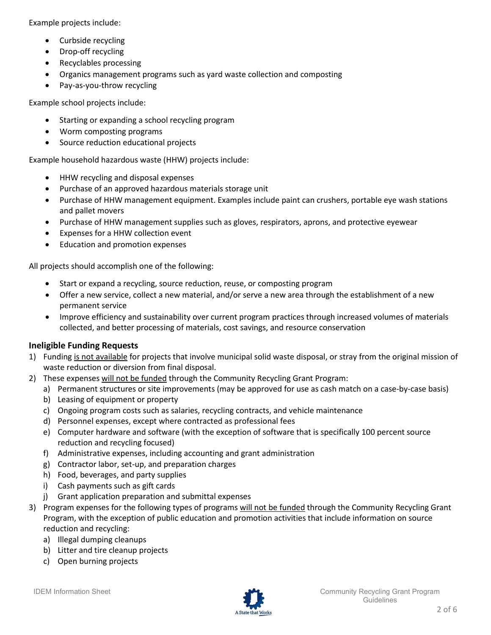Example projects include:

- Curbside recycling
- Drop-off recycling
- Recyclables processing
- Organics management programs such as yard waste collection and composting
- Pay-as-you-throw recycling

Example school projects include:

- Starting or expanding a school recycling program
- Worm composting programs
- Source reduction educational projects

Example household hazardous waste (HHW) projects include:

- HHW recycling and disposal expenses
- Purchase of an approved hazardous materials storage unit
- Purchase of HHW management equipment. Examples include paint can crushers, portable eye wash stations and pallet movers
- Purchase of HHW management supplies such as gloves, respirators, aprons, and protective eyewear
- Expenses for a HHW collection event
- Education and promotion expenses

All projects should accomplish one of the following:

- Start or expand a recycling, source reduction, reuse, or composting program
- Offer a new service, collect a new material, and/or serve a new area through the establishment of a new permanent service
- Improve efficiency and sustainability over current program practices through increased volumes of materials collected, and better processing of materials, cost savings, and resource conservation

## **Ineligible Funding Requests**

- 1) Funding is not available for projects that involve municipal solid waste disposal, or stray from the original mission of waste reduction or diversion from final disposal.
- 2) These expenses will not be funded through the Community Recycling Grant Program:
	- a) Permanent structures or site improvements (may be approved for use as cash match on a case-by-case basis)
	- b) Leasing of equipment or property
	- c) Ongoing program costs such as salaries, recycling contracts, and vehicle maintenance
	- d) Personnel expenses, except where contracted as professional fees
	- e) Computer hardware and software (with the exception of software that is specifically 100 percent source reduction and recycling focused)
	- f) Administrative expenses, including accounting and grant administration
	- g) Contractor labor, set-up, and preparation charges
	- h) Food, beverages, and party supplies
	- i) Cash payments such as gift cards
	- j) Grant application preparation and submittal expenses
- 3) Program expenses for the following types of programs will not be funded through the Community Recycling Grant Program, with the exception of public education and promotion activities that include information on source reduction and recycling:
	- a) Illegal dumping cleanups
	- b) Litter and tire cleanup projects
	- c) Open burning projects

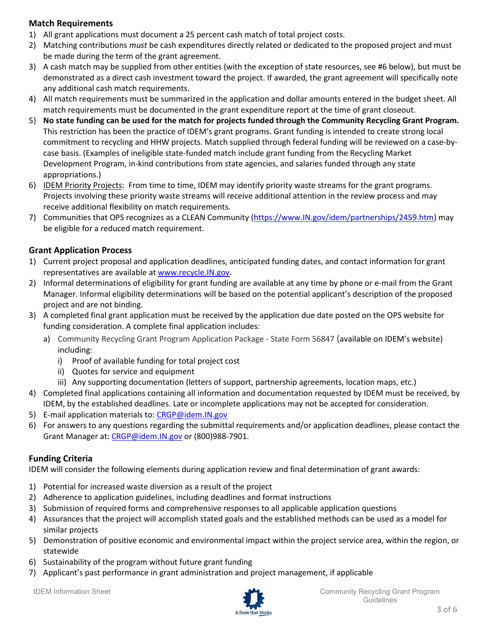## **Match Requirements**

- 1) All grant applications must document a 25 percent cash match of total project costs.
- 2) Matching contributions *must* be cash expenditures directly related or dedicated to the proposed project and must be made during the term of the grant agreement.
- 3) A cash match may be supplied from other entities (with the exception of state resources, see #6 below), but must be demonstrated as a direct cash investment toward the project. If awarded, the grant agreement will specifically note any additional cash match requirements.
- 4) All match requirements must be summarized in the application and dollar amounts entered in the budget sheet. All match requirements must be documented in the grant expenditure report at the time of grant closeout.
- 5) **No state funding can be used for the match for projects funded through the Community Recycling Grant Program.** This restriction has been the practice of IDEM's grant programs. Grant funding is intended to create strong local commitment to recycling and HHW projects. Match supplied through federal funding will be reviewed on a case-bycase basis. (Examples of ineligible state-funded match include grant funding from the Recycling Market Development Program, in-kind contributions from state agencies, and salaries funded through any state appropriations.)
- 6) IDEM Priority Projects: From time to time, IDEM may identify priority waste streams for the grant programs. Projects involving these priority waste streams will receive additional attention in the review process and may receive additional flexibility on match requirements.
- 7) Communities that OPS recognizes as a CLEAN Community [\(https://www.IN.gov/idem/partnerships/2459.htm\)](https://www.in.gov/idem/partnerships/2459.htm) may be eligible for a reduced match requirement.

## **Grant Application Process**

- 1) Current project proposal and application deadlines, anticipated funding dates, and contact information for grant representatives are available at [www.recycle.IN.gov.](http://www.recycle.in.gov/)
- 2) Informal determinations of eligibility for grant funding are available at any time by phone or e-mail from the Grant Manager. Informal eligibility determinations will be based on the potential applicant's description of the proposed project and are not binding.
- 3) A completed final grant application must be received by the application due date posted on the OPS website for funding consideration. A complete final application includes:
	- a) Community Recycling Grant Program Application Package State Form 56847 (available on IDEM's website) including:
		- i) Proof of available funding for total project cost
		- ii) Quotes for service and equipment
		- iii) Any supporting documentation (letters of support, partnership agreements, location maps, etc.)
- 4) Completed final applications containing all information and documentation requested by IDEM must be received, by IDEM, by the established deadlines. Late or incomplete applications may not be accepted for consideration.
- 5) E-mail application materials to: [CRGP@idem.IN.gov](mailto:CRGP@idem.IN.gov)
- 6) For answers to any questions regarding the submittal requirements and/or application deadlines, please contact the Grant Manager at: [CRGP@idem.IN.gov](mailto:CRGP@idem.IN.gov) or (800)988-7901.

## **Funding Criteria**

IDEM will consider the following elements during application review and final determination of grant awards:

- 1) Potential for increased waste diversion as a result of the project
- 2) Adherence to application guidelines, including deadlines and format instructions
- 3) Submission of required forms and comprehensive responses to all applicable application questions
- 4) Assurances that the project will accomplish stated goals and the established methods can be used as a model for similar projects
- 5) Demonstration of positive economic and environmental impact within the project service area, within the region, or statewide
- 6) Sustainability of the program without future grant funding
- 7) Applicant's past performance in grant administration and project management, if applicable

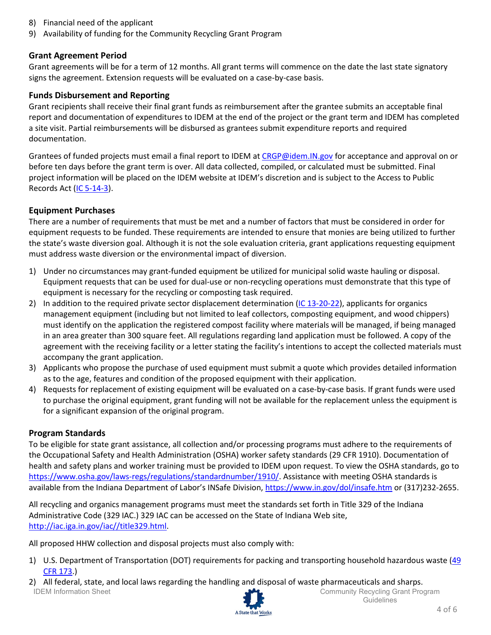- 8) Financial need of the applicant
- 9) Availability of funding for the Community Recycling Grant Program

#### **Grant Agreement Period**

Grant agreements will be for a term of 12 months. All grant terms will commence on the date the last state signatory signs the agreement. Extension requests will be evaluated on a case-by-case basis.

#### **Funds Disbursement and Reporting**

Grant recipients shall receive their final grant funds as reimbursement after the grantee submits an acceptable final report and documentation of expenditures to IDEM at the end of the project or the grant term and IDEM has completed a site visit. Partial reimbursements will be disbursed as grantees submit expenditure reports and required documentation.

Grantees of funded projects must email a final report to IDEM at [CRGP@idem.IN.gov](mailto:CRGP@idem.IN.gov) for acceptance and approval on or before ten days before the grant term is over. All data collected, compiled, or calculated must be submitted. Final project information will be placed on the IDEM website at IDEM's discretion and is subject to the Access to Public Records Act [\(IC 5-14-3\)](http://iga.in.gov/legislative/laws/2018/ic/titles/005#5-14-3).

#### **Equipment Purchases**

There are a number of requirements that must be met and a number of factors that must be considered in order for equipment requests to be funded. These requirements are intended to ensure that monies are being utilized to further the state's waste diversion goal. Although it is not the sole evaluation criteria, grant applications requesting equipment must address waste diversion or the environmental impact of diversion.

- 1) Under no circumstances may grant-funded equipment be utilized for municipal solid waste hauling or disposal. Equipment requests that can be used for dual-use or non-recycling operations must demonstrate that this type of equipment is necessary for the recycling or composting task required.
- 2) In addition to the required private sector displacement determination [\(IC 13-20-22\)](http://iga.in.gov/legislative/laws/2018/ic/titles/013/articles/025/chapters/004#13-20-22), applicants for organics management equipment (including but not limited to leaf collectors, composting equipment, and wood chippers) must identify on the application the registered compost facility where materials will be managed, if being managed in an area greater than 300 square feet. All regulations regarding land application must be followed. A copy of the agreement with the receiving facility or a letter stating the facility's intentions to accept the collected materials must accompany the grant application.
- 3) Applicants who propose the purchase of used equipment must submit a quote which provides detailed information as to the age, features and condition of the proposed equipment with their application.
- 4) Requests for replacement of existing equipment will be evaluated on a case-by-case basis. If grant funds were used to purchase the original equipment, grant funding will not be available for the replacement unless the equipment is for a significant expansion of the original program.

## **Program Standards**

To be eligible for state grant assistance, all collection and/or processing programs must adhere to the requirements of the Occupational Safety and Health Administration (OSHA) worker safety standards (29 CFR 1910). Documentation of health and safety plans and worker training must be provided to IDEM upon request. To view the OSHA standards, go to [https://www.osha.gov/laws-regs/regulations/standardnumber/1910/.](https://www.osha.gov/laws-regs/regulations/standardnumber/1910/) Assistance with meeting OSHA standards is available from the Indiana Department of Labor's INSafe Division,<https://www.in.gov/dol/insafe.htm> or (317)232-2655.

All recycling and organics management programs must meet the standards set forth in Title 329 of the Indiana Administrative Code (329 IAC.) 329 IAC can be accessed on the State of Indiana Web site, [http://iac.iga.in.gov/iac//title329.html.](http://iac.iga.in.gov/iac/title329.html)

All proposed HHW collection and disposal projects must also comply with:

- 1) U.S. Department of Transportation (DOT) requirements for packing and transporting household hazardous waste [\(49](https://www.ecfr.gov/cgi-bin/text-idx?SID=3ad60586389e4b1ed1dc9071840549e0&mc=true&tpl=/ecfrbrowse/Title49/49tab_02.tpl)  [CFR 173.](https://www.ecfr.gov/cgi-bin/text-idx?SID=3ad60586389e4b1ed1dc9071840549e0&mc=true&tpl=/ecfrbrowse/Title49/49tab_02.tpl))
- IDEM Information Sheet Community Recycling Grant Program 2) All federal, state, and local laws regarding the handling and disposal of waste pharmaceuticals and sharps.



**Guidelines**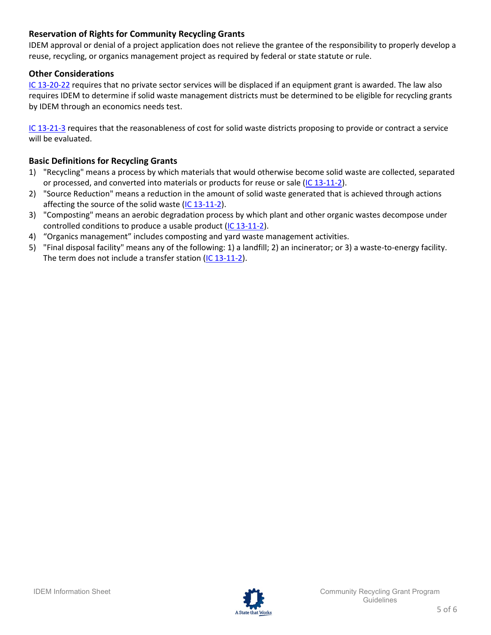## **Reservation of Rights for Community Recycling Grants**

IDEM approval or denial of a project application does not relieve the grantee of the responsibility to properly develop a reuse, recycling, or organics management project as required by federal or state statute or rule.

## **Other Considerations**

[IC 13-20-22](http://iga.in.gov/legislative/laws/2018/ic/titles/013/articles/025/chapters/004#13-20-22) requires that no private sector services will be displaced if an equipment grant is awarded. The law also requires IDEM to determine if solid waste management districts must be determined to be eligible for recycling grants by IDEM through an economics needs test.

[IC 13-21-3](http://iga.in.gov/legislative/laws/2018/ic/titles/013/articles/025/chapters/004#13-21-3-14.5) requires that the reasonableness of cost for solid waste districts proposing to provide or contract a service will be evaluated.

## **Basic Definitions for Recycling Grants**

- 1) "Recycling" means a process by which materials that would otherwise become solid waste are collected, separated or processed, and converted into materials or products for reuse or sale [\(IC 13-11-2\)](http://iga.in.gov/legislative/laws/2018/ic/titles/013/articles/025/chapters/004#13-11-2).
- 2) "Source Reduction" means a reduction in the amount of solid waste generated that is achieved through actions affecting the source of the solid waste [\(IC 13-11-2\)](http://iga.in.gov/legislative/laws/2018/ic/titles/013/articles/025/chapters/004#13-11-2).
- 3) "Composting" means an aerobic degradation process by which plant and other organic wastes decompose under controlled conditions to produce a usable product [\(IC 13-11-2\)](http://iga.in.gov/legislative/laws/2018/ic/titles/013/articles/025/chapters/004#13-11-2http://iga.in.gov/legislative/laws/2018/ic/titles/013/articles/025/chapters/004).
- 4) "Organics management" includes composting and yard waste management activities.
- 5) "Final disposal facility" means any of the following: 1) a landfill; 2) an incinerator; or 3) a waste-to-energy facility. The term does not include a transfer station [\(IC 13-11-2\)](http://iga.in.gov/legislative/laws/2018/ic/titles/013/articles/025/chapters/004#13-11-2).